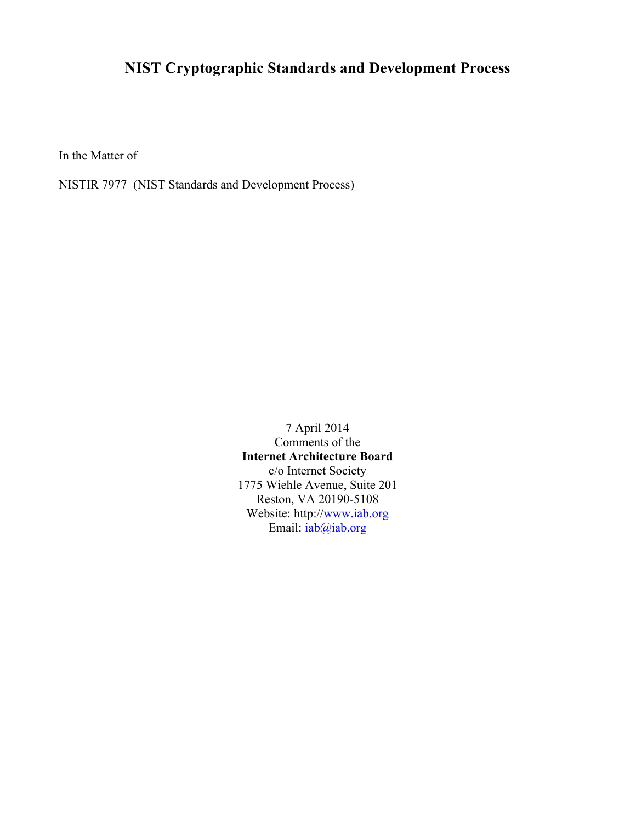## **NIST Cryptographic Standards and Development Process**

In the Matter of

NISTIR 7977 (NIST Standards and Development Process)

7 April 2014 Comments of the **Internet Architecture Board** c/o Internet Society 1775 Wiehle Avenue, Suite 201 Reston, VA 20190-5108 Website: http://www.iab.org Email:  $iab@iab.org$